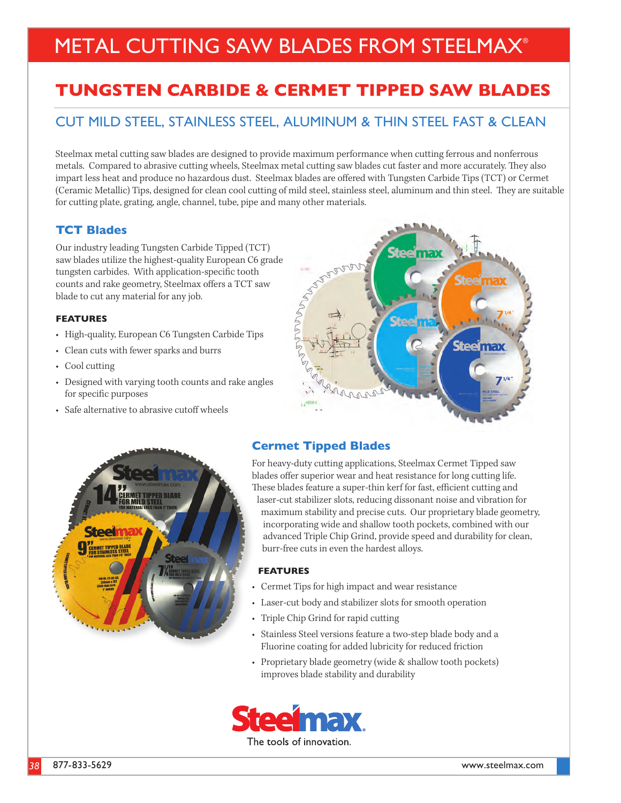# METAL CUTTING SAW BLADES FROM STEELMAX®

## **TUNGSTEN CARBIDE & CERMET TIPPED SAW BLADES**

### CUT MILD STEEL, STAINLESS STEEL, ALUMINUM & THIN STEEL FAST & CLEAN

Steelmax metal cutting saw blades are designed to provide maximum performance when cutting ferrous and nonferrous metals. Compared to abrasive cutting wheels, Steelmax metal cutting saw blades cut faster and more accurately. They also impart less heat and produce no hazardous dust. Steelmax blades are offered with Tungsten Carbide Tips (TCT) or Cermet (Ceramic Metallic) Tips, designed for clean cool cutting of mild steel, stainless steel, aluminum and thin steel. They are suitable for cutting plate, grating, angle, channel, tube, pipe and many other materials.

#### **TCT Blades**

Our industry leading Tungsten Carbide Tipped (TCT) saw blades utilize the highest-quality European C6 grade tungsten carbides. With application-specific tooth counts and rake geometry, Steelmax offers a TCT saw blade to cut any material for any job.

#### **FEATURES**

- High-quality, European C6 Tungsten Carbide Tips
- Clean cuts with fewer sparks and burrs
- Cool cutting
- Designed with varying tooth counts and rake angles for specific purposes
- Safe alternative to abrasive cutoff wheels





#### **Cermet Tipped Blades**

For heavy-duty cutting applications, Steelmax Cermet Tipped saw blades offer superior wear and heat resistance for long cutting life. These blades feature a super-thin kerf for fast, efficient cutting and laser-cut stabilizer slots, reducing dissonant noise and vibration for maximum stability and precise cuts. Our proprietary blade geometry, incorporating wide and shallow tooth pockets, combined with our advanced Triple Chip Grind, provide speed and durability for clean, burr-free cuts in even the hardest alloys.

#### **FEATURES**

- Cermet Tips for high impact and wear resistance
- Laser-cut body and stabilizer slots for smooth operation
- Triple Chip Grind for rapid cutting
- Stainless Steel versions feature a two-step blade body and a Fluorine coating for added lubricity for reduced friction
- Proprietary blade geometry (wide & shallow tooth pockets) improves blade stability and durability